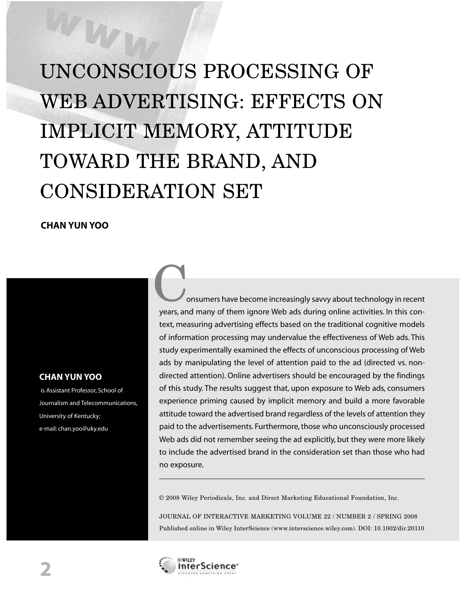# UNCONSCIOUS PROCESSING OF WEB ADVERTISING: EFFECTS ON IMPLICIT MEMORY, ATTITUDE TOWARD THE BRAND, AND CONSIDERATION SET

### **CHAN YUN YOO**

LAT

#### **CHAN YUN YOO**

is Assistant Professor, School of Journalism and Telecommunications, University of Kentucky; e-mail: chan.yoo@uky.edu

onsumers have become increasingly savvy about technology in recent years, and many of them ignore Web ads during online activities. In this context, measuring advertising effects based on the traditional cognitive models of information processing may undervalue the effectiveness of Web ads. This study experimentally examined the effects of unconscious processing of Web ads by manipulating the level of attention paid to the ad (directed vs. nondirected attention). Online advertisers should be encouraged by the findings of this study. The results suggest that, upon exposure to Web ads, consumers experience priming caused by implicit memory and build a more favorable attitude toward the advertised brand regardless of the levels of attention they paid to the advertisements. Furthermore, those who unconsciously processed Web ads did not remember seeing the ad explicitly, but they were more likely to include the advertised brand in the consideration set than those who had no exposure. C.

© 2008 Wiley Periodicals, Inc. and Direct Marketing Educational Foundation, Inc.

JOURNAL OF INTERACTIVE MARKETING VOLUME 22 / NUMBER 2 / SPRING 2008 Published online in Wiley InterScience (www.interscience.wiley.com). DOI: 10.1002/dir.20110

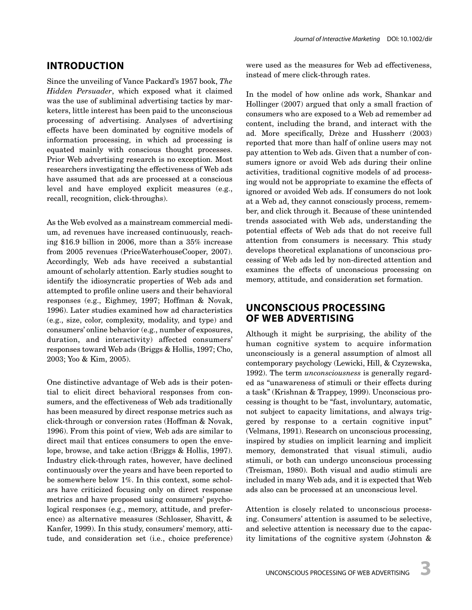Since the unveiling of Vance Packard's 1957 book, *The Hidden Persuader*, which exposed what it claimed was the use of subliminal advertising tactics by marketers, little interest has been paid to the unconscious processing of advertising. Analyses of advertising effects have been dominated by cognitive models of information processing, in which ad processing is equated mainly with conscious thought processes. Prior Web advertising research is no exception. Most researchers investigating the effectiveness of Web ads have assumed that ads are processed at a conscious level and have employed explicit measures (e.g., recall, recognition, click-throughs).

As the Web evolved as a mainstream commercial medium, ad revenues have increased continuously, reaching \$16.9 billion in 2006, more than a 35% increase from 2005 revenues (PriceWaterhouseCooper, 2007). Accordingly, Web ads have received a substantial amount of scholarly attention. Early studies sought to identify the idiosyncratic properties of Web ads and attempted to profile online users and their behavioral responses (e.g., Eighmey, 1997; Hoffman & Novak, 1996). Later studies examined how ad characteristics (e.g., size, color, complexity, modality, and type) and consumers' online behavior (e.g., number of exposures, duration, and interactivity) affected consumers' responses toward Web ads (Briggs & Hollis, 1997; Cho, 2003; Yoo & Kim, 2005).

One distinctive advantage of Web ads is their potential to elicit direct behavioral responses from consumers, and the effectiveness of Web ads traditionally has been measured by direct response metrics such as click-through or conversion rates (Hoffman & Novak, 1996). From this point of view, Web ads are similar to direct mail that entices consumers to open the envelope, browse, and take action (Briggs & Hollis, 1997). Industry click-through rates, however, have declined continuously over the years and have been reported to be somewhere below 1%. In this context, some scholars have criticized focusing only on direct response metrics and have proposed using consumers' psychological responses (e.g., memory, attitude, and preference) as alternative measures (Schlosser, Shavitt, & Kanfer, 1999). In this study, consumers' memory, attitude, and consideration set (i.e., choice preference) were used as the measures for Web ad effectiveness, instead of mere click-through rates.

In the model of how online ads work, Shankar and Hollinger (2007) argued that only a small fraction of consumers who are exposed to a Web ad remember ad content, including the brand, and interact with the ad. More specifically, Drèze and Hussherr (2003) reported that more than half of online users may not pay attention to Web ads. Given that a number of consumers ignore or avoid Web ads during their online activities, traditional cognitive models of ad processing would not be appropriate to examine the effects of ignored or avoided Web ads. If consumers do not look at a Web ad, they cannot consciously process, remember, and click through it. Because of these unintended trends associated with Web ads, understanding the potential effects of Web ads that do not receive full attention from consumers is necessary. This study develops theoretical explanations of unconscious processing of Web ads led by non-directed attention and examines the effects of unconscious processing on memory, attitude, and consideration set formation.

#### **UNCONSCIOUS PROCESSING OF WEB ADVERTISING**

Although it might be surprising, the ability of the human cognitive system to acquire information unconsciously is a general assumption of almost all contemporary psychology (Lewicki, Hill, & Czyzewska, 1992). The term *unconsciousness* is generally regarded as "unawareness of stimuli or their effects during a task" (Krishnan & Trappey, 1999). Unconscious processing is thought to be "fast, involuntary, automatic, not subject to capacity limitations, and always triggered by response to a certain cognitive input" (Velmans, 1991). Research on unconscious processing, inspired by studies on implicit learning and implicit memory, demonstrated that visual stimuli, audio stimuli, or both can undergo unconscious processing (Treisman, 1980). Both visual and audio stimuli are included in many Web ads, and it is expected that Web ads also can be processed at an unconscious level.

Attention is closely related to unconscious processing. Consumers' attention is assumed to be selective, and selective attention is necessary due to the capacity limitations of the cognitive system (Johnston &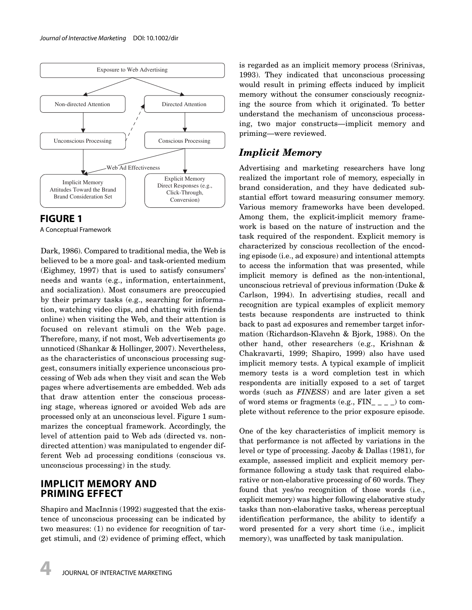



A Conceptual Framework

Dark, 1986). Compared to traditional media, the Web is believed to be a more goal- and task-oriented medium (Eighmey, 1997) that is used to satisfy consumers' needs and wants (e.g., information, entertainment, and socialization). Most consumers are preoccupied by their primary tasks (e.g., searching for information, watching video clips, and chatting with friends online) when visiting the Web, and their attention is focused on relevant stimuli on the Web page. Therefore, many, if not most, Web advertisements go unnoticed (Shankar & Hollinger, 2007). Nevertheless, as the characteristics of unconscious processing suggest, consumers initially experience unconscious processing of Web ads when they visit and scan the Web pages where advertisements are embedded. Web ads that draw attention enter the conscious processing stage, whereas ignored or avoided Web ads are processed only at an unconscious level. Figure 1 summarizes the conceptual framework. Accordingly, the level of attention paid to Web ads (directed vs. nondirected attention) was manipulated to engender different Web ad processing conditions (conscious vs. unconscious processing) in the study.

#### **IMPLICIT MEMORY AND PRIMING EFFECT**

Shapiro and MacInnis (1992) suggested that the existence of unconscious processing can be indicated by two measures: (1) no evidence for recognition of target stimuli, and (2) evidence of priming effect, which

is regarded as an implicit memory process (Srinivas, 1993). They indicated that unconscious processing would result in priming effects induced by implicit memory without the consumer consciously recognizing the source from which it originated. To better understand the mechanism of unconscious processing, two major constructs—implicit memory and priming—were reviewed.

#### *Implicit Memory*

Advertising and marketing researchers have long realized the important role of memory, especially in brand consideration, and they have dedicated substantial effort toward measuring consumer memory. Various memory frameworks have been developed. Among them, the explicit-implicit memory framework is based on the nature of instruction and the task required of the respondent. Explicit memory is characterized by conscious recollection of the encoding episode (i.e., ad exposure) and intentional attempts to access the information that was presented, while implicit memory is defined as the non-intentional, unconscious retrieval of previous information (Duke & Carlson, 1994). In advertising studies, recall and recognition are typical examples of explicit memory tests because respondents are instructed to think back to past ad exposures and remember target information (Richardson-Klavehn & Bjork, 1988). On the other hand, other researchers (e.g., Krishnan & Chakravarti, 1999; Shapiro, 1999) also have used implicit memory tests. A typical example of implicit memory tests is a word completion test in which respondents are initially exposed to a set of target words (such as *FINESS*) and are later given a set of word stems or fragments (e.g.,  $FIN_{---}$ ) to complete without reference to the prior exposure episode.

One of the key characteristics of implicit memory is that performance is not affected by variations in the level or type of processing. Jacoby & Dallas (1981), for example, assessed implicit and explicit memory performance following a study task that required elaborative or non-elaborative processing of 60 words. They found that yes/no recognition of those words (i.e., explicit memory) was higher following elaborative study tasks than non-elaborative tasks, whereas perceptual identification performance, the ability to identify a word presented for a very short time (i.e., implicit memory), was unaffected by task manipulation.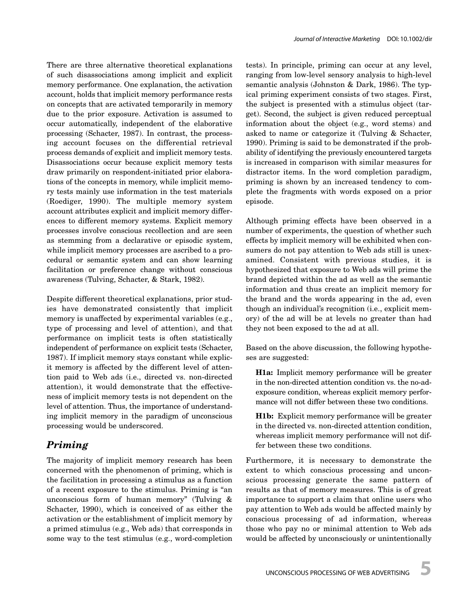There are three alternative theoretical explanations of such disassociations among implicit and explicit memory performance. One explanation, the activation account, holds that implicit memory performance rests on concepts that are activated temporarily in memory due to the prior exposure. Activation is assumed to occur automatically, independent of the elaborative processing (Schacter, 1987). In contrast, the processing account focuses on the differential retrieval process demands of explicit and implicit memory tests. Disassociations occur because explicit memory tests draw primarily on respondent-initiated prior elaborations of the concepts in memory, while implicit memory tests mainly use information in the test materials (Roediger, 1990). The multiple memory system account attributes explicit and implicit memory differences to different memory systems. Explicit memory processes involve conscious recollection and are seen as stemming from a declarative or episodic system, while implicit memory processes are ascribed to a procedural or semantic system and can show learning facilitation or preference change without conscious awareness (Tulving, Schacter, & Stark, 1982).

Despite different theoretical explanations, prior studies have demonstrated consistently that implicit memory is unaffected by experimental variables (e.g., type of processing and level of attention), and that performance on implicit tests is often statistically independent of performance on explicit tests (Schacter, 1987). If implicit memory stays constant while explicit memory is affected by the different level of attention paid to Web ads (i.e., directed vs. non-directed attention), it would demonstrate that the effectiveness of implicit memory tests is not dependent on the level of attention. Thus, the importance of understanding implicit memory in the paradigm of unconscious processing would be underscored.

#### *Priming*

The majority of implicit memory research has been concerned with the phenomenon of priming, which is the facilitation in processing a stimulus as a function of a recent exposure to the stimulus. Priming is "an unconscious form of human memory" (Tulving & Schacter, 1990), which is conceived of as either the activation or the establishment of implicit memory by a primed stimulus (e.g., Web ads) that corresponds in some way to the test stimulus (e.g., word-completion tests). In principle, priming can occur at any level, ranging from low-level sensory analysis to high-level semantic analysis (Johnston & Dark, 1986). The typical priming experiment consists of two stages. First, the subject is presented with a stimulus object (target). Second, the subject is given reduced perceptual information about the object (e.g., word stems) and asked to name or categorize it (Tulving & Schacter, 1990). Priming is said to be demonstrated if the probability of identifying the previously encountered targets is increased in comparison with similar measures for distractor items. In the word completion paradigm, priming is shown by an increased tendency to complete the fragments with words exposed on a prior episode.

Although priming effects have been observed in a number of experiments, the question of whether such effects by implicit memory will be exhibited when consumers do not pay attention to Web ads still is unexamined. Consistent with previous studies, it is hypothesized that exposure to Web ads will prime the brand depicted within the ad as well as the semantic information and thus create an implicit memory for the brand and the words appearing in the ad, even though an individual's recognition (i.e., explicit memory) of the ad will be at levels no greater than had they not been exposed to the ad at all.

Based on the above discussion, the following hypotheses are suggested:

- **H1a:** Implicit memory performance will be greater in the non-directed attention condition vs. the no-adexposure condition, whereas explicit memory performance will not differ between these two conditions.
- **H1b:** Explicit memory performance will be greater in the directed vs. non-directed attention condition, whereas implicit memory performance will not differ between these two conditions.

Furthermore, it is necessary to demonstrate the extent to which conscious processing and unconscious processing generate the same pattern of results as that of memory measures. This is of great importance to support a claim that online users who pay attention to Web ads would be affected mainly by conscious processing of ad information, whereas those who pay no or minimal attention to Web ads would be affected by unconsciously or unintentionally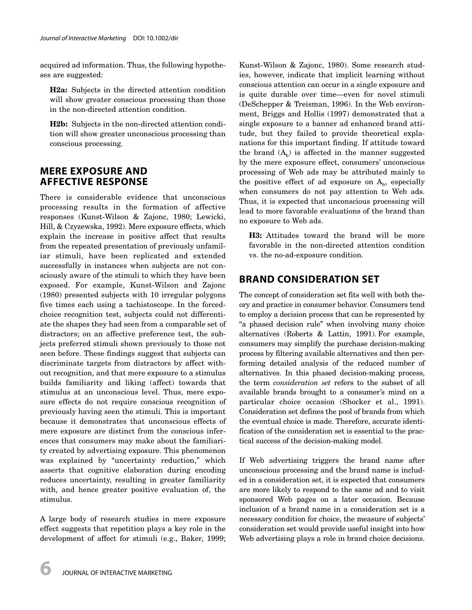acquired ad information. Thus, the following hypotheses are suggested:

**H2a:** Subjects in the directed attention condition will show greater conscious processing than those in the non-directed attention condition.

**H2b:** Subjects in the non-directed attention condition will show greater unconscious processing than conscious processing.

#### **MERE EXPOSURE AND AFFECTIVE RESPONSE**

There is considerable evidence that unconscious processing results in the formation of affective responses (Kunst-Wilson & Zajonc, 1980; Lewicki, Hill, & Czyzewska, 1992). Mere exposure effects, which explain the increase in positive affect that results from the repeated presentation of previously unfamiliar stimuli, have been replicated and extended successfully in instances when subjects are not consciously aware of the stimuli to which they have been exposed. For example, Kunst-Wilson and Zajonc (1980) presented subjects with 10 irregular polygons five times each using a tachistoscope. In the forcedchoice recognition test, subjects could not differentiate the shapes they had seen from a comparable set of distractors; on an affective preference test, the subjects preferred stimuli shown previously to those not seen before. These findings suggest that subjects can discriminate targets from distractors by affect without recognition, and that mere exposure to a stimulus builds familiarity and liking (affect) towards that stimulus at an unconscious level. Thus, mere exposure effects do not require conscious recognition of previously having seen the stimuli. This is important because it demonstrates that unconscious effects of mere exposure are distinct from the conscious inferences that consumers may make about the familiarity created by advertising exposure. This phenomenon was explained by "uncertainty reduction," which asserts that cognitive elaboration during encoding reduces uncertainty, resulting in greater familiarity with, and hence greater positive evaluation of, the stimulus.

A large body of research studies in mere exposure effect suggests that repetition plays a key role in the development of affect for stimuli (e.g., Baker, 1999; Kunst-Wilson & Zajonc, 1980). Some research studies, however, indicate that implicit learning without conscious attention can occur in a single exposure and is quite durable over time—even for novel stimuli (DeSchepper & Treisman, 1996). In the Web environment, Briggs and Hollis (1997) demonstrated that a single exposure to a banner ad enhanced brand attitude, but they failed to provide theoretical explanations for this important finding. If attitude toward the brand  $(A_h)$  is affected in the manner suggested by the mere exposure effect, consumers' unconscious processing of Web ads may be attributed mainly to the positive effect of ad exposure on  $A<sub>b</sub>$ , especially when consumers do not pay attention to Web ads. Thus, it is expected that unconscious processing will lead to more favorable evaluations of the brand than no exposure to Web ads.

**H3:** Attitudes toward the brand will be more favorable in the non-directed attention condition vs. the no-ad-exposure condition.

#### **BRAND CONSIDERATION SET**

The concept of consideration set fits well with both theory and practice in consumer behavior. Consumers tend to employ a decision process that can be represented by "a phased decision rule" when involving many choice alternatives (Roberts & Lattin, 1991). For example, consumers may simplify the purchase decision-making process by filtering available alternatives and then performing detailed analysis of the reduced number of alternatives. In this phased decision-making process, the term *consideration set* refers to the subset of all available brands brought to a consumer's mind on a particular choice occasion (Shocker et al., 1991). Consideration set defines the pool of brands from which the eventual choice is made. Therefore, accurate identification of the consideration set is essential to the practical success of the decision-making model.

If Web advertising triggers the brand name after unconscious processing and the brand name is included in a consideration set, it is expected that consumers are more likely to respond to the same ad and to visit sponsored Web pages on a later occasion. Because inclusion of a brand name in a consideration set is a necessary condition for choice, the measure of subjects' consideration set would provide useful insight into how Web advertising plays a role in brand choice decisions.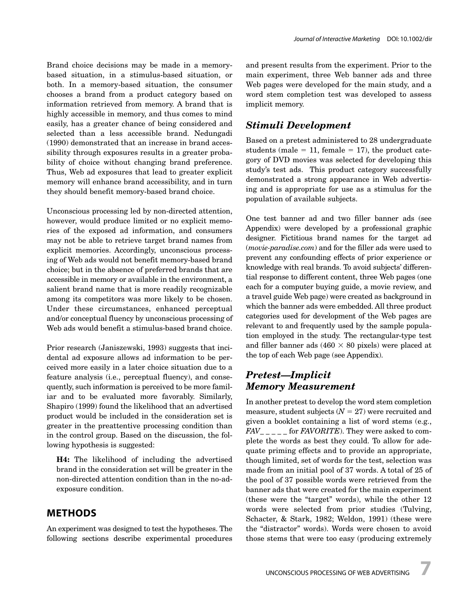Brand choice decisions may be made in a memorybased situation, in a stimulus-based situation, or both. In a memory-based situation, the consumer chooses a brand from a product category based on information retrieved from memory. A brand that is highly accessible in memory, and thus comes to mind easily, has a greater chance of being considered and selected than a less accessible brand. Nedungadi (1990) demonstrated that an increase in brand accessibility through exposures results in a greater probability of choice without changing brand preference. Thus, Web ad exposures that lead to greater explicit memory will enhance brand accessibility, and in turn they should benefit memory-based brand choice.

Unconscious processing led by non-directed attention, however, would produce limited or no explicit memories of the exposed ad information, and consumers may not be able to retrieve target brand names from explicit memories. Accordingly, unconscious processing of Web ads would not benefit memory-based brand choice; but in the absence of preferred brands that are accessible in memory or available in the environment, a salient brand name that is more readily recognizable among its competitors was more likely to be chosen. Under these circumstances, enhanced perceptual and/or conceptual fluency by unconscious processing of Web ads would benefit a stimulus-based brand choice.

Prior research (Janiszewski, 1993) suggests that incidental ad exposure allows ad information to be perceived more easily in a later choice situation due to a feature analysis (i.e., perceptual fluency), and consequently, such information is perceived to be more familiar and to be evaluated more favorably. Similarly, Shapiro (1999) found the likelihood that an advertised product would be included in the consideration set is greater in the preattentive processing condition than in the control group. Based on the discussion, the following hypothesis is suggested:

**H4:** The likelihood of including the advertised brand in the consideration set will be greater in the non-directed attention condition than in the no-adexposure condition.

#### **METHODS**

An experiment was designed to test the hypotheses. The following sections describe experimental procedures and present results from the experiment. Prior to the main experiment, three Web banner ads and three Web pages were developed for the main study, and a word stem completion test was developed to assess implicit memory.

#### *Stimuli Development*

Based on a pretest administered to 28 undergraduate students (male  $= 11$ , female  $= 17$ ), the product category of DVD movies was selected for developing this study's test ads. This product category successfully demonstrated a strong appearance in Web advertising and is appropriate for use as a stimulus for the population of available subjects.

One test banner ad and two filler banner ads (see Appendix) were developed by a professional graphic designer. Fictitious brand names for the target ad (*movie-paradise.com*) and for the filler ads were used to prevent any confounding effects of prior experience or knowledge with real brands. To avoid subjects' differential response to different content, three Web pages (one each for a computer buying guide, a movie review, and a travel guide Web page) were created as background in which the banner ads were embedded. All three product categories used for development of the Web pages are relevant to and frequently used by the sample population employed in the study. The rectangular-type test and filler banner ads  $(460 \times 80)$  pixels) were placed at the top of each Web page (see Appendix).

#### *Pretest—Implicit Memory Measurement*

In another pretest to develop the word stem completion measure, student subjects  $(N = 27)$  were recruited and given a booklet containing a list of word stems (e.g.,  $FAV_{---}$  for *FAVORITE*). They were asked to complete the words as best they could. To allow for adequate priming effects and to provide an appropriate, though limited, set of words for the test, selection was made from an initial pool of 37 words. A total of 25 of the pool of 37 possible words were retrieved from the banner ads that were created for the main experiment (these were the "target" words), while the other 12 words were selected from prior studies (Tulving, Schacter, & Stark, 1982; Weldon, 1991) (these were the "distractor" words). Words were chosen to avoid those stems that were too easy (producing extremely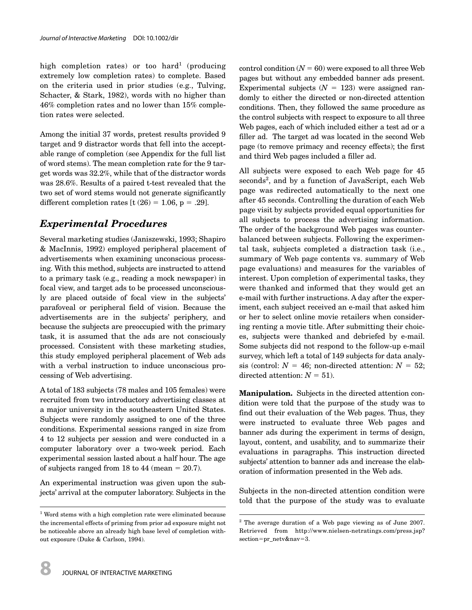high completion rates) or too hard<sup>1</sup> (producing extremely low completion rates) to complete. Based on the criteria used in prior studies (e.g., Tulving, Schacter, & Stark, 1982), words with no higher than 46% completion rates and no lower than 15% completion rates were selected.

Among the initial 37 words, pretest results provided 9 target and 9 distractor words that fell into the acceptable range of completion (see Appendix for the full list of word stems). The mean completion rate for the 9 target words was 32.2%, while that of the distractor words was 28.6%. Results of a paired t-test revealed that the two set of word stems would not generate significantly different completion rates [t  $(26) = 1.06$ , p = .29].

#### *Experimental Procedures*

Several marketing studies (Janiszewski, 1993; Shapiro & MacInnis, 1992) employed peripheral placement of advertisements when examining unconscious processing. With this method, subjects are instructed to attend to a primary task (e.g., reading a mock newspaper) in focal view, and target ads to be processed unconsciously are placed outside of focal view in the subjects' parafoveal or peripheral field of vision. Because the advertisements are in the subjects' periphery, and because the subjects are preoccupied with the primary task, it is assumed that the ads are not consciously processed. Consistent with these marketing studies, this study employed peripheral placement of Web ads with a verbal instruction to induce unconscious processing of Web advertising.

A total of 183 subjects (78 males and 105 females) were recruited from two introductory advertising classes at a major university in the southeastern United States. Subjects were randomly assigned to one of the three conditions. Experimental sessions ranged in size from 4 to 12 subjects per session and were conducted in a computer laboratory over a two-week period. Each experimental session lasted about a half hour. The age of subjects ranged from 18 to 44 (mean  $= 20.7$ ).

An experimental instruction was given upon the subjects' arrival at the computer laboratory. Subjects in the control condition  $(N = 60)$  were exposed to all three Web pages but without any embedded banner ads present. Experimental subjects  $(N = 123)$  were assigned randomly to either the directed or non-directed attention conditions. Then, they followed the same procedure as the control subjects with respect to exposure to all three Web pages, each of which included either a test ad or a filler ad. The target ad was located in the second Web page (to remove primacy and recency effects); the first and third Web pages included a filler ad.

All subjects were exposed to each Web page for 45 seconds<sup>2</sup>, and by a function of JavaScript, each Web page was redirected automatically to the next one after 45 seconds. Controlling the duration of each Web page visit by subjects provided equal opportunities for all subjects to process the advertising information. The order of the background Web pages was counterbalanced between subjects. Following the experimental task, subjects completed a distraction task (i.e., summary of Web page contents vs. summary of Web page evaluations) and measures for the variables of interest. Upon completion of experimental tasks, they were thanked and informed that they would get an e-mail with further instructions. A day after the experiment, each subject received an e-mail that asked him or her to select online movie retailers when considering renting a movie title. After submitting their choices, subjects were thanked and debriefed by e-mail. Some subjects did not respond to the follow-up e-mail survey, which left a total of 149 subjects for data analysis (control:  $N = 46$ ; non-directed attention:  $N = 52$ ; directed attention:  $N = 51$ ).

**Manipulation.** Subjects in the directed attention condition were told that the purpose of the study was to find out their evaluation of the Web pages. Thus, they were instructed to evaluate three Web pages and banner ads during the experiment in terms of design, layout, content, and usability, and to summarize their evaluations in paragraphs. This instruction directed subjects' attention to banner ads and increase the elaboration of information presented in the Web ads.

Subjects in the non-directed attention condition were told that the purpose of the study was to evaluate

<sup>1</sup> Word stems with a high completion rate were eliminated because the incremental effects of priming from prior ad exposure might not be noticeable above an already high base level of completion without exposure (Duke & Carlson, 1994).

 $2$  The average duration of a Web page viewing as of June 2007. Retrieved from http://www.nielsen-netratings.com/press.jsp? section=pr\_netv&nav=3.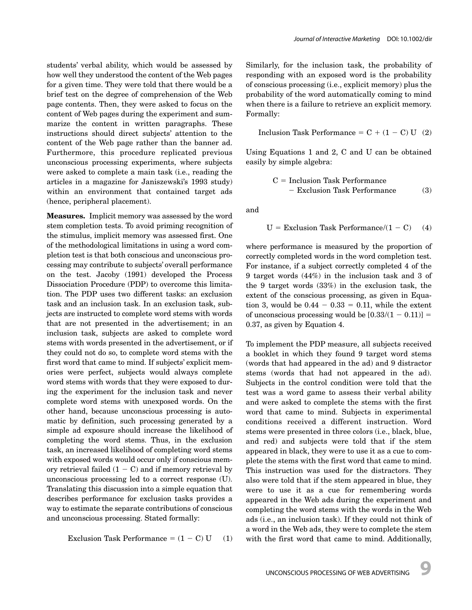students' verbal ability, which would be assessed by how well they understood the content of the Web pages for a given time. They were told that there would be a brief test on the degree of comprehension of the Web page contents. Then, they were asked to focus on the content of Web pages during the experiment and summarize the content in written paragraphs. These instructions should direct subjects' attention to the content of the Web page rather than the banner ad. Furthermore, this procedure replicated previous unconscious processing experiments, where subjects were asked to complete a main task (i.e., reading the articles in a magazine for Janiszewski's 1993 study) within an environment that contained target ads (hence, peripheral placement).

**Measures.** Implicit memory was assessed by the word stem completion tests. To avoid priming recognition of the stimulus, implicit memory was assessed first. One of the methodological limitations in using a word completion test is that both conscious and unconscious processing may contribute to subjects' overall performance on the test. Jacoby (1991) developed the Process Dissociation Procedure (PDP) to overcome this limitation. The PDP uses two different tasks: an exclusion task and an inclusion task. In an exclusion task, subjects are instructed to complete word stems with words that are not presented in the advertisement; in an inclusion task, subjects are asked to complete word stems with words presented in the advertisement, or if they could not do so, to complete word stems with the first word that came to mind. If subjects' explicit memories were perfect, subjects would always complete word stems with words that they were exposed to during the experiment for the inclusion task and never complete word stems with unexposed words. On the other hand, because unconscious processing is automatic by definition, such processing generated by a simple ad exposure should increase the likelihood of completing the word stems. Thus, in the exclusion task, an increased likelihood of completing word stems with exposed words would occur only if conscious memory retrieval failed  $(1 - C)$  and if memory retrieval by unconscious processing led to a correct response (U). Translating this discussion into a simple equation that describes performance for exclusion tasks provides a way to estimate the separate contributions of conscious and unconscious processing. Stated formally:

Similarly, for the inclusion task, the probability of responding with an exposed word is the probability of conscious processing (i.e., explicit memory) plus the probability of the word automatically coming to mind when there is a failure to retrieve an explicit memory. Formally:

Inclusion Task Performance = 
$$
C + (1 - C) U
$$
 (2)

Using Equations 1 and 2, C and U can be obtained easily by simple algebra:

$$
C = Inclusion Task Performance\n- Exclusion Task Performance
$$
\n(3)

and

 $U = Exclusion$  Task Performance/(1 – C) (4)

where performance is measured by the proportion of correctly completed words in the word completion test. For instance, if a subject correctly completed 4 of the 9 target words (44%) in the inclusion task and 3 of the 9 target words (33%) in the exclusion task, the extent of the conscious processing, as given in Equation 3, would be  $0.44 - 0.33 = 0.11$ , while the extent of unconscious processing would be  $[0.33/(1 - 0.11)] =$ 0.37, as given by Equation 4.

To implement the PDP measure, all subjects received a booklet in which they found 9 target word stems (words that had appeared in the ad) and 9 distractor stems (words that had not appeared in the ad). Subjects in the control condition were told that the test was a word game to assess their verbal ability and were asked to complete the stems with the first word that came to mind. Subjects in experimental conditions received a different instruction. Word stems were presented in three colors (i.e., black, blue, and red) and subjects were told that if the stem appeared in black, they were to use it as a cue to complete the stems with the first word that came to mind. This instruction was used for the distractors. They also were told that if the stem appeared in blue, they were to use it as a cue for remembering words appeared in the Web ads during the experiment and completing the word stems with the words in the Web ads (i.e., an inclusion task). If they could not think of a word in the Web ads, they were to complete the stem with the first word that came to mind. Additionally,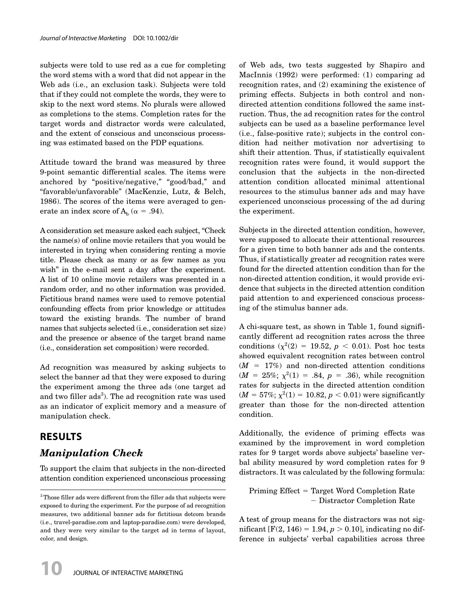subjects were told to use red as a cue for completing the word stems with a word that did not appear in the Web ads (i.e., an exclusion task). Subjects were told that if they could not complete the words, they were to skip to the next word stems. No plurals were allowed as completions to the stems. Completion rates for the target words and distractor words were calculated, and the extent of conscious and unconscious processing was estimated based on the PDP equations.

Attitude toward the brand was measured by three 9-point semantic differential scales. The items were anchored by "positive/negative," "good/bad," and "favorable/unfavorable" (MacKenzie, Lutz, & Belch, 1986). The scores of the items were averaged to generate an index score of  $A_b$  ( $\alpha = .94$ ).

A consideration set measure asked each subject, "Check the name(s) of online movie retailers that you would be interested in trying when considering renting a movie title. Please check as many or as few names as you wish" in the e-mail sent a day after the experiment. A list of 10 online movie retailers was presented in a random order, and no other information was provided. Fictitious brand names were used to remove potential confounding effects from prior knowledge or attitudes toward the existing brands. The number of brand names that subjects selected (i.e., consideration set size) and the presence or absence of the target brand name (i.e., consideration set composition) were recorded.

Ad recognition was measured by asking subjects to select the banner ad that they were exposed to during the experiment among the three ads (one target ad and two filler ads<sup>3</sup>). The ad recognition rate was used as an indicator of explicit memory and a measure of manipulation check.

# **RESULTS**

# *Manipulation Check*

To support the claim that subjects in the non-directed attention condition experienced unconscious processing

of Web ads, two tests suggested by Shapiro and MacInnis (1992) were performed: (1) comparing ad recognition rates, and (2) examining the existence of priming effects. Subjects in both control and nondirected attention conditions followed the same instruction. Thus, the ad recognition rates for the control subjects can be used as a baseline performance level (i.e., false-positive rate); subjects in the control condition had neither motivation nor advertising to shift their attention. Thus, if statistically equivalent recognition rates were found, it would support the conclusion that the subjects in the non-directed attention condition allocated minimal attentional resources to the stimulus banner ads and may have experienced unconscious processing of the ad during the experiment.

Subjects in the directed attention condition, however, were supposed to allocate their attentional resources for a given time to both banner ads and the contents. Thus, if statistically greater ad recognition rates were found for the directed attention condition than for the non-directed attention condition, it would provide evidence that subjects in the directed attention condition paid attention to and experienced conscious processing of the stimulus banner ads.

A chi-square test, as shown in Table 1, found significantly different ad recognition rates across the three conditions ( $\chi^2(2) = 19.52$ ,  $p < 0.01$ ). Post hoc tests showed equivalent recognition rates between control  $(M = 17\%)$  and non-directed attention conditions  $(M = 25\%; \chi^2(1) = .84, p = .36)$ , while recognition rates for subjects in the directed attention condition  $(M = 57\%; \chi^2(1) = 10.82, p < 0.01)$  were significantly greater than those for the non-directed attention condition.

Additionally, the evidence of priming effects was examined by the improvement in word completion rates for 9 target words above subjects' baseline verbal ability measured by word completion rates for 9 distractors. It was calculated by the following formula:

Priming Effect = Target Word Completion Rate - Distractor Completion Rate

A test of group means for the distractors was not significant  $[F(2, 146) = 1.94, p > 0.10]$ , indicating no difference in subjects' verbal capabilities across three

<sup>3</sup> Those filler ads were different from the filler ads that subjects were exposed to during the experiment. For the purpose of ad recognition measures, two additional banner ads for fictitious dotcom brands (i.e., travel-paradise.com and laptop-paradise.com) were developed, and they were very similar to the target ad in terms of layout, color, and design.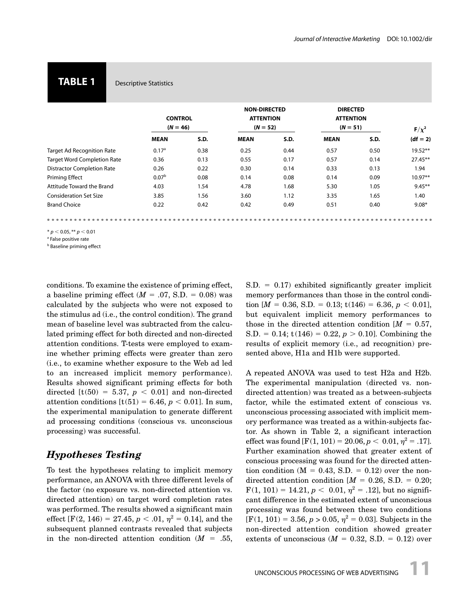#### **TABLE 1** Descriptive Statistics

|                                    | <b>CONTROL</b><br>$(N = 46)$ |      | <b>NON-DIRECTED</b><br><b>ATTENTION</b><br>$(N = 52)$ |      | <b>DIRECTED</b><br><b>ATTENTION</b><br>$(N = 51)$ |      | $F/\chi^2$ |
|------------------------------------|------------------------------|------|-------------------------------------------------------|------|---------------------------------------------------|------|------------|
|                                    | <b>MEAN</b>                  | S.D. | <b>MEAN</b>                                           | S.D. | <b>MEAN</b>                                       | S.D. | $(df = 2)$ |
| <b>Target Ad Recognition Rate</b>  | 0.17 <sup>a</sup>            | 0.38 | 0.25                                                  | 0.44 | 0.57                                              | 0.50 | $19.52**$  |
| <b>Target Word Completion Rate</b> | 0.36                         | 0.13 | 0.55                                                  | 0.17 | 0.57                                              | 0.14 | $27.45***$ |
| <b>Distractor Completion Rate</b>  | 0.26                         | 0.22 | 0.30                                                  | 0.14 | 0.33                                              | 0.13 | 1.94       |
| Priming Effect                     | 0.07 <sup>b</sup>            | 0.08 | 0.14                                                  | 0.08 | 0.14                                              | 0.09 | $10.97**$  |
| Attitude Toward the Brand          | 4.03                         | 1.54 | 4.78                                                  | 1.68 | 5.30                                              | 1.05 | $9.45***$  |
| <b>Consideration Set Size</b>      | 3.85                         | 1.56 | 3.60                                                  | 1.12 | 3.35                                              | 1.65 | 1.40       |
| <b>Brand Choice</b>                | 0.22                         | 0.42 | 0.42                                                  | 0.49 | 0.51                                              | 0.40 | $9.08*$    |

 $* p < 0.05, ** p < 0.01$ 

<sup>a</sup> False positive rate

**b** Baseline priming effect

conditions. To examine the existence of priming effect, a baseline priming effect  $(M = .07, S.D. = 0.08)$  was calculated by the subjects who were not exposed to the stimulus ad (i.e., the control condition). The grand mean of baseline level was subtracted from the calculated priming effect for both directed and non-directed attention conditions. T-tests were employed to examine whether priming effects were greater than zero (i.e., to examine whether exposure to the Web ad led to an increased implicit memory performance). Results showed significant priming effects for both directed  $[t(50) = 5.37, p < 0.01]$  and non-directed attention conditions  $[t(51) = 6.46, p < 0.01]$ . In sum, the experimental manipulation to generate different ad processing conditions (conscious vs. unconscious processing) was successful.

#### *Hypotheses Testing*

To test the hypotheses relating to implicit memory performance, an ANOVA with three different levels of the factor (no exposure vs. non-directed attention vs. directed attention) on target word completion rates was performed. The results showed a significant main effect [F(2, 146) = 27.45,  $p < .01$ ,  $\eta^2 = 0.14$ ], and the subsequent planned contrasts revealed that subjects in the non-directed attention condition  $(M = .55, )$ 

 $S.D. = 0.17$  exhibited significantly greater implicit memory performances than those in the control condition  $[M = 0.36, S.D. = 0.13; t(146) = 6.36, p < 0.01]$ , but equivalent implicit memory performances to those in the directed attention condition  $[M = 0.57]$ , S.D. = 0.14;  $t(146) = 0.22$ ,  $p > 0.10$ . Combining the results of explicit memory (i.e., ad recognition) presented above, H1a and H1b were supported.

A repeated ANOVA was used to test H2a and H2b. The experimental manipulation (directed vs. nondirected attention) was treated as a between-subjects factor, while the estimated extent of conscious vs. unconscious processing associated with implicit memory performance was treated as a within-subjects factor. As shown in Table 2, a significant interaction effect was found  $[F(1, 101) = 20.06, p < 0.01, \eta^2 = .17]$ . Further examination showed that greater extent of conscious processing was found for the directed attention condition ( $M = 0.43$ , S.D. = 0.12) over the nondirected attention condition  $[M = 0.26, S.D. = 0.20;$  $F(1, 101) = 14.21, p < 0.01, \eta^2 = .12$ , but no significant difference in the estimated extent of unconscious processing was found between these two conditions  $[F(1, 101) = 3.56, p > 0.05, \eta^2 = 0.03]$ . Subjects in the non-directed attention condition showed greater extents of unconscious  $(M = 0.32, S.D. = 0.12)$  over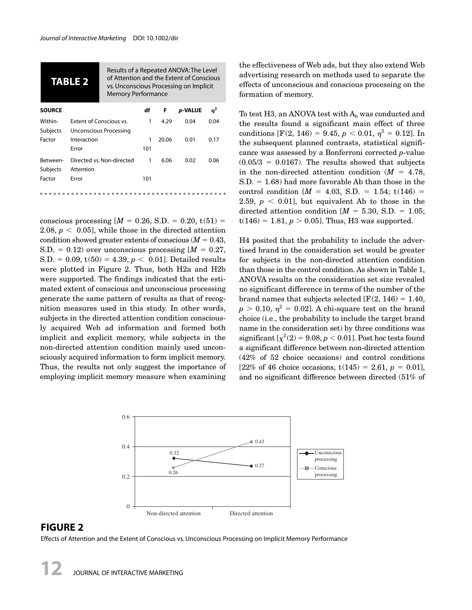## **TABLE 2**

Results of a Repeated ANOVA: The Level of Attention and the Extent of Conscious vs. Unconscious Processing on Implicit Memory Performance

| <b>SOURCE</b>        |                                                   | df       | F.    | p-VALUE | $\eta^2$ |
|----------------------|---------------------------------------------------|----------|-------|---------|----------|
| Within-<br>Subjects  | Extent of Conscious vs.<br>Unconscious Processing | 1        | 4.29  | 0.04    | 0.04     |
| Factor               | Interaction<br>Error                              | 1<br>101 | 20.06 | 0.01    | 0.17     |
| Between-<br>Subjects | Directed vs. Non-directed<br>Attention            | 1        | 6.06  | 0.02    | 0.06     |
| Factor               | Error                                             | 101      |       |         |          |

conscious processing  $[M = 0.26, S.D. = 0.20, t(51) =$ 2.08,  $p < 0.05$ ], while those in the directed attention condition showed greater extents of conscious  $(M = 0.43,$ S.D.  $= 0.12$ ) over unconscious processing  $[M = 0.27]$ , S.D. =  $0.09$ ,  $t(50) = 4.39$ ,  $p < 0.01$ . Detailed results were plotted in Figure 2. Thus, both H2a and H2b were supported. The findings indicated that the estimated extent of conscious and unconscious processing generate the same pattern of results as that of recognition measures used in this study. In other words, subjects in the directed attention condition consciously acquired Web ad information and formed both implicit and explicit memory, while subjects in the non-directed attention condition mainly used unconsciously acquired information to form implicit memory. Thus, the results not only suggest the importance of employing implicit memory measure when examining the effectiveness of Web ads, but they also extend Web advertising research on methods used to separate the effects of unconscious and conscious processing on the formation of memory.

To test H3, an ANOVA test with  $A<sub>b</sub>$  was conducted and the results found a significant main effect of three conditions [F(2, 146) = 9.45,  $p < 0.01$ ,  $\eta^2 = 0.12$ ]. In the subsequent planned contrasts, statistical significance was assessed by a Bonferroni corrected *p*-value  $(0.05/3 = 0.0167)$ . The results showed that subjects in the non-directed attention condition  $(M = 4.78,$  $S.D. = 1.68$ ) had more favorable Ab than those in the control condition  $[M = 4.03, S.D. = 1.54; t(146) =$ 2.59,  $p < 0.01$ , but equivalent Ab to those in the directed attention condition  $[M = 5.30, S.D. = 1.05;$  $t(146) = 1.81, p > 0.05$ . Thus, H3 was supported.

H4 posited that the probability to include the advertised brand in the consideration set would be greater for subjects in the non-directed attention condition than those in the control condition. As shown in Table 1, ANOVA results on the consideration set size revealed no significant difference in terms of the number of the brand names that subjects selected  $[F(2, 146) = 1.40]$ ,  $p > 0.10$ ,  $\eta^2 = 0.02$ . A chi-square test on the brand choice (i.e., the probability to include the target brand name in the consideration set) by three conditions was significant  $[\chi^2(2) = 9.08, p < 0.01]$ . Post hoc tests found a significant difference between non-directed attention (42% of 52 choice occasions) and control conditions [22% of 46 choice occasions,  $t(145) = 2.61$ ,  $p = 0.01$ ], and no significant difference between directed (51% of



#### **FIGURE 2**

Effects of Attention and the Extent of Conscious vs. Unconscious Processing on Implicit Memory Performance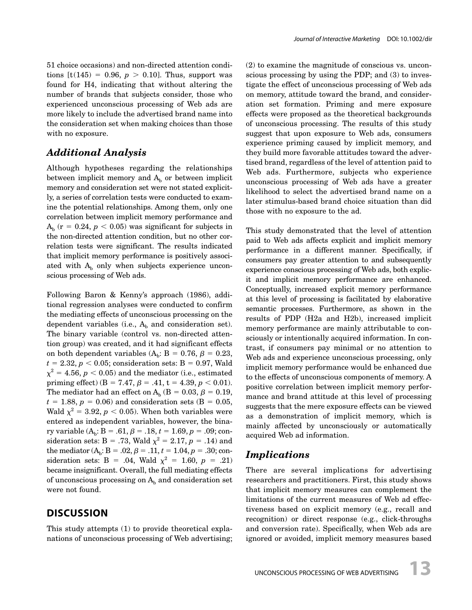51 choice occasions) and non-directed attention conditions  $[t(145) = 0.96, p > 0.10]$ . Thus, support was found for H4, indicating that without altering the number of brands that subjects consider, those who experienced unconscious processing of Web ads are more likely to include the advertised brand name into the consideration set when making choices than those with no exposure.

#### *Additional Analysis*

Although hypotheses regarding the relationships between implicit memory and  $A<sub>b</sub>$  or between implicit memory and consideration set were not stated explicitly, a series of correlation tests were conducted to examine the potential relationships. Among them, only one correlation between implicit memory performance and  $A<sub>b</sub>$  ( $r = 0.24$ ,  $p < 0.05$ ) was significant for subjects in the non-directed attention condition, but no other correlation tests were significant. The results indicated that implicit memory performance is positively associated with  $A_b$  only when subjects experience unconscious processing of Web ads.

Following Baron & Kenny's approach (1986), additional regression analyses were conducted to confirm the mediating effects of unconscious processing on the dependent variables (i.e.,  $A<sub>b</sub>$  and consideration set). The binary variable (control vs. non-directed attention group) was created, and it had significant effects on both dependent variables  $(A_h: B = 0.76, \beta = 0.23,$  $t = 2.32, p < 0.05$ ; consideration sets:  $B = 0.97$ , Wald  $\chi^2$  = 4.56, *p* < 0.05) and the mediator (i.e., estimated priming effect) (B = 7.47,  $\beta$  = .41, t = 4.39,  $p < 0.01$ ). The mediator had an effect on  $A_h$  (B = 0.03,  $\beta$  = 0.19,  $t = 1.88$ ,  $p = 0.06$ ) and consideration sets (B = 0.05, Wald  $\chi^2 = 3.92$ ,  $p < 0.05$ ). When both variables were entered as independent variables, however, the binary variable  $(A_b: B = .61, \beta = .18, t = 1.69, p = .09;$  consideration sets: B = .73, Wald  $\chi^2 = 2.17$ ,  $p = .14$ ) and the mediator  $(A_b: B = .02, \beta = .11, t = 1.04, p = .30;$  consideration sets: B = .04, Wald  $\chi^2$  = 1.60, *p* = .21) became insignificant. Overall, the full mediating effects of unconscious processing on  $A<sub>b</sub>$  and consideration set were not found.

#### **DISCUSSION**

This study attempts (1) to provide theoretical explanations of unconscious processing of Web advertising; (2) to examine the magnitude of conscious vs. unconscious processing by using the PDP; and (3) to investigate the effect of unconscious processing of Web ads on memory, attitude toward the brand, and consideration set formation. Priming and mere exposure effects were proposed as the theoretical backgrounds of unconscious processing. The results of this study suggest that upon exposure to Web ads, consumers experience priming caused by implicit memory, and they build more favorable attitudes toward the advertised brand, regardless of the level of attention paid to Web ads. Furthermore, subjects who experience unconscious processing of Web ads have a greater likelihood to select the advertised brand name on a later stimulus-based brand choice situation than did those with no exposure to the ad.

This study demonstrated that the level of attention paid to Web ads affects explicit and implicit memory performance in a different manner. Specifically, if consumers pay greater attention to and subsequently experience conscious processing of Web ads, both explicit and implicit memory performance are enhanced. Conceptually, increased explicit memory performance at this level of processing is facilitated by elaborative semantic processes. Furthermore, as shown in the results of PDP (H2a and H2b), increased implicit memory performance are mainly attributable to consciously or intentionally acquired information. In contrast, if consumers pay minimal or no attention to Web ads and experience unconscious processing, only implicit memory performance would be enhanced due to the effects of unconscious components of memory. A positive correlation between implicit memory performance and brand attitude at this level of processing suggests that the mere exposure effects can be viewed as a demonstration of implicit memory, which is mainly affected by unconsciously or automatically acquired Web ad information.

#### *Implications*

There are several implications for advertising researchers and practitioners. First, this study shows that implicit memory measures can complement the limitations of the current measures of Web ad effectiveness based on explicit memory (e.g., recall and recognition) or direct response (e.g., click-throughs and conversion rate). Specifically, when Web ads are ignored or avoided, implicit memory measures based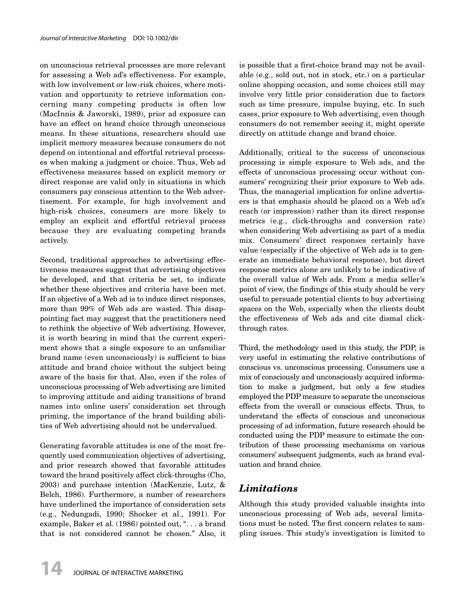on unconscious retrieval processes are more relevant for assessing a Web ad's effectiveness. For example, with low involvement or low-risk choices, where motivation and opportunity to retrieve information concerning many competing products is often low (MacInnis & Jaworski, 1989), prior ad exposure can have an effect on brand choice through unconscious means. In these situations, researchers should use implicit memory measures because consumers do not depend on intentional and effortful retrieval processes when making a judgment or choice. Thus, Web ad effectiveness measures based on explicit memory or direct response are valid only in situations in which consumers pay conscious attention to the Web advertisement. For example, for high involvement and high-risk choices, consumers are more likely to employ an explicit and effortful retrieval process because they are evaluating competing brands actively.

Second, traditional approaches to advertising effectiveness measures suggest that advertising objectives be developed, and that criteria be set, to indicate whether these objectives and criteria have been met. If an objective of a Web ad is to induce direct responses, more than 99% of Web ads are wasted. This disappointing fact may suggest that the practitioners need to rethink the objective of Web advertising. However, it is worth bearing in mind that the current experiment shows that a single exposure to an unfamiliar brand name (even unconsciously) is sufficient to bias attitude and brand choice without the subject being aware of the basis for that. Also, even if the roles of unconscious processing of Web advertising are limited to improving attitude and aiding transitions of brand names into online users' consideration set through priming, the importance of the brand building abilities of Web advertising should not be undervalued.

Generating favorable attitudes is one of the most frequently used communication objectives of advertising, and prior research showed that favorable attitudes toward the brand positively affect click-throughs (Cho, 2003) and purchase intention (MacKenzie, Lutz, & Belch, 1986). Furthermore, a number of researchers have underlined the importance of consideration sets (e.g., Nedungadi, 1990; Shocker et al., 1991). For example, Baker et al. (1986) pointed out, ". . . a brand that is not considered cannot be chosen." Also, it is possible that a first-choice brand may not be available (e.g., sold out, not in stock, etc.) on a particular online shopping occasion, and some choices still may involve very little prior consideration due to factors such as time pressure, impulse buying, etc. In such cases, prior exposure to Web advertising, even though consumers do not remember seeing it, might operate directly on attitude change and brand choice.

Additionally, critical to the success of unconscious processing is simple exposure to Web ads, and the effects of unconscious processing occur without consumers' recognizing their prior exposure to Web ads. Thus, the managerial implication for online advertisers is that emphasis should be placed on a Web ad's reach (or impression) rather than its direct response metrics (e.g., click-throughs and conversion rate) when considering Web advertising as part of a media mix. Consumers' direct responses certainly have value (especially if the objective of Web ads is to generate an immediate behavioral response), but direct response metrics alone are unlikely to be indicative of the overall value of Web ads. From a media seller's point of view, the findings of this study should be very useful to persuade potential clients to buy advertising spaces on the Web, especially when the clients doubt the effectiveness of Web ads and cite dismal clickthrough rates.

Third, the methodology used in this study, the PDP, is very useful in estimating the relative contributions of conscious vs. unconscious processing. Consumers use a mix of consciously and unconsciously acquired information to make a judgment, but only a few studies employed the PDP measure to separate the unconscious effects from the overall or conscious effects. Thus, to understand the effects of conscious and unconscious processing of ad information, future research should be conducted using the PDP measure to estimate the contribution of these processing mechanisms on various consumers' subsequent judgments, such as brand evaluation and brand choice.

#### *Limitations*

Although this study provided valuable insights into unconscious processing of Web ads, several limitations must be noted. The first concern relates to sampling issues. This study's investigation is limited to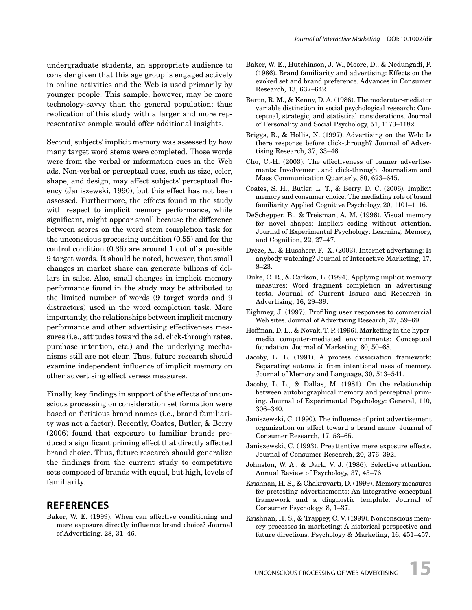undergraduate students, an appropriate audience to consider given that this age group is engaged actively in online activities and the Web is used primarily by younger people. This sample, however, may be more technology-savvy than the general population; thus replication of this study with a larger and more representative sample would offer additional insights.

Second, subjects' implicit memory was assessed by how many target word stems were completed. Those words were from the verbal or information cues in the Web ads. Non-verbal or perceptual cues, such as size, color, shape, and design, may affect subjects' perceptual fluency (Janiszewski, 1990), but this effect has not been assessed. Furthermore, the effects found in the study with respect to implicit memory performance, while significant, might appear small because the difference between scores on the word stem completion task for the unconscious processing condition (0.55) and for the control condition (0.36) are around 1 out of a possible 9 target words. It should be noted, however, that small changes in market share can generate billions of dollars in sales. Also, small changes in implicit memory performance found in the study may be attributed to the limited number of words (9 target words and 9 distractors) used in the word completion task. More importantly, the relationships between implicit memory performance and other advertising effectiveness measures (i.e., attitudes toward the ad, click-through rates, purchase intention, etc.) and the underlying mechanisms still are not clear. Thus, future research should examine independent influence of implicit memory on other advertising effectiveness measures.

Finally, key findings in support of the effects of unconscious processing on consideration set formation were based on fictitious brand names (i.e., brand familiarity was not a factor). Recently, Coates, Butler, & Berry (2006) found that exposure to familiar brands produced a significant priming effect that directly affected brand choice. Thus, future research should generalize the findings from the current study to competitive sets composed of brands with equal, but high, levels of familiarity.

#### **REFERENCES**

Baker, W. E. (1999). When can affective conditioning and mere exposure directly influence brand choice? Journal of Advertising, 28, 31–46.

- Baker, W. E., Hutchinson, J. W., Moore, D., & Nedungadi, P. (1986). Brand familiarity and advertising: Effects on the evoked set and brand preference. Advances in Consumer Research, 13, 637–642.
- Baron, R. M., & Kenny, D. A. (1986). The moderator-mediator variable distinction in social psychological research: Conceptual, strategic, and statistical considerations. Journal of Personality and Social Psychology, 51, 1173–1182.
- Briggs, R., & Hollis, N. (1997). Advertising on the Web: Is there response before click-through? Journal of Advertising Research, 37, 33–46.
- Cho, C.-H. (2003). The effectiveness of banner advertisements: Involvement and click-through. Journalism and Mass Communication Quarterly, 80, 623–645.
- Coates, S. H., Butler, L. T., & Berry, D. C. (2006). Implicit memory and consumer choice: The mediating role of brand familiarity. Applied Cognitive Psychology, 20, 1101–1116.
- DeSchepper, B., & Treisman, A. M. (1996). Visual memory for novel shapes: Implicit coding without attention. Journal of Experimental Psychology: Learning, Memory, and Cognition, 22, 27–47.
- Drèze, X., & Hussherr, F. -X. (2003). Internet advertising: Is anybody watching? Journal of Interactive Marketing, 17, 8–23.
- Duke, C. R., & Carlson, L. (1994). Applying implicit memory measures: Word fragment completion in advertising tests. Journal of Current Issues and Research in Advertising, 16, 29–39.
- Eighmey, J. (1997). Profiling user responses to commercial Web sites. Journal of Advertising Research, 37, 59–69.
- Hoffman, D. L., & Novak, T. P. (1996). Marketing in the hypermedia computer-mediated environments: Conceptual foundation. Journal of Marketing, 60, 50–68.
- Jacoby, L. L. (1991). A process dissociation framework: Separating automatic from intentional uses of memory. Journal of Memory and Language, 30, 513–541.
- Jacoby, L. L., & Dallas, M. (1981). On the relationship between autobiographical memory and perceptual priming. Journal of Experimental Psychology: General, 110, 306–340.
- Janiszewski, C. (1990). The influence of print advertisement organization on affect toward a brand name. Journal of Consumer Research, 17, 53–65.
- Janiszewski, C. (1993). Preattentive mere exposure effects. Journal of Consumer Research, 20, 376–392.
- Johnston, W. A., & Dark, V. J. (1986). Selective attention. Annual Review of Psychology, 37, 43–76.
- Krishnan, H. S., & Chakravarti, D. (1999). Memory measures for pretesting advertisements: An integrative conceptual framework and a diagnostic template. Journal of Consumer Psychology, 8, 1–37.
- Krishnan, H. S., & Trappey, C. V. (1999). Nonconscious memory processes in marketing: A historical perspective and future directions. Psychology & Marketing, 16, 451–457.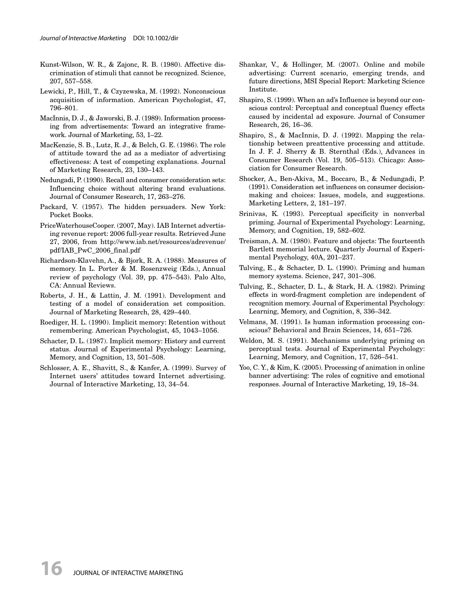- Kunst-Wilson, W. R., & Zajonc, R. B. (1980). Affective discrimination of stimuli that cannot be recognized. Science, 207, 557–558.
- Lewicki, P., Hill, T., & Czyzewska, M. (1992). Nonconscious acquisition of information. American Psychologist, 47, 796–801.
- MacInnis, D. J., & Jaworski, B. J. (1989). Information processing from advertisements: Toward an integrative framework. Journal of Marketing, 53, 1–22.
- MacKenzie, S. B., Lutz, R. J., & Belch, G. E. (1986). The role of attitude toward the ad as a mediator of advertising effectiveness: A test of competing explanations. Journal of Marketing Research, 23, 130–143.
- Nedungadi, P. (1990). Recall and consumer consideration sets: Influencing choice without altering brand evaluations. Journal of Consumer Research, 17, 263–276.
- Packard, V. (1957). The hidden persuaders. New York: Pocket Books.
- PriceWaterhouseCooper. (2007, May). IAB Internet advertising revenue report: 2006 full-year results. Retrieved June 27, 2006, from http://www.iab.net/resources/adrevenue/ pdf/IAB\_PwC\_2006\_final.pdf
- Richardson-Klavehn, A., & Bjork, R. A. (1988). Measures of memory. In L. Porter & M. Rosenzweig (Eds.), Annual review of psychology (Vol. 39, pp. 475–543). Palo Alto, CA: Annual Reviews.
- Roberts, J. H., & Lattin, J. M. (1991). Development and testing of a model of consideration set composition. Journal of Marketing Research, 28, 429–440.
- Roediger, H. L. (1990). Implicit memory: Retention without remembering. American Psychologist, 45, 1043–1056.
- Schacter, D. L. (1987). Implicit memory: History and current status. Journal of Experimental Psychology: Learning, Memory, and Cognition, 13, 501–508.
- Schlosser, A. E., Shavitt, S., & Kanfer, A. (1999). Survey of Internet users' attitudes toward Internet advertising. Journal of Interactive Marketing, 13, 34–54.
- Shankar, V., & Hollinger, M. (2007). Online and mobile advertising: Current scenario, emerging trends, and future directions, MSI Special Report: Marketing Science Institute.
- Shapiro, S. (1999). When an ad's Influence is beyond our conscious control: Perceptual and conceptual fluency effects caused by incidental ad exposure. Journal of Consumer Research, 26, 16–36.
- Shapiro, S., & MacInnis, D. J. (1992). Mapping the relationship between preattentive processing and attitude. In J. F. J. Sherry & B. Sternthal (Eds.), Advances in Consumer Research (Vol. 19, 505–513). Chicago: Association for Consumer Research.
- Shocker, A., Ben-Akiva, M., Boccaro, B., & Nedungadi, P. (1991). Consideration set influences on consumer decisionmaking and choices: Issues, models, and suggestions. Marketing Letters, 2, 181–197.
- Srinivas, K. (1993). Perceptual specificity in nonverbal priming. Journal of Experimental Psychology: Learning, Memory, and Cognition, 19, 582–602.
- Treisman, A. M. (1980). Feature and objects: The fourteenth Bartlett memorial lecture. Quarterly Journal of Experimental Psychology, 40A, 201–237.
- Tulving, E., & Schacter, D. L. (1990). Priming and human memory systems. Science, 247, 301–306.
- Tulving, E., Schacter, D. L., & Stark, H. A. (1982). Priming effects in word-fragment completion are independent of recognition memory. Journal of Experimental Psychology: Learning, Memory, and Cognition, 8, 336–342.
- Velmans, M. (1991). Is human information processing conscious? Behavioral and Brain Sciences, 14, 651–726.
- Weldon, M. S. (1991). Mechanisms underlying priming on perceptual tests. Journal of Experimental Psychology: Learning, Memory, and Cognition, 17, 526–541.
- Yoo, C. Y., & Kim, K. (2005). Processing of animation in online banner advertising: The roles of cognitive and emotional responses. Journal of Interactive Marketing, 19, 18–34.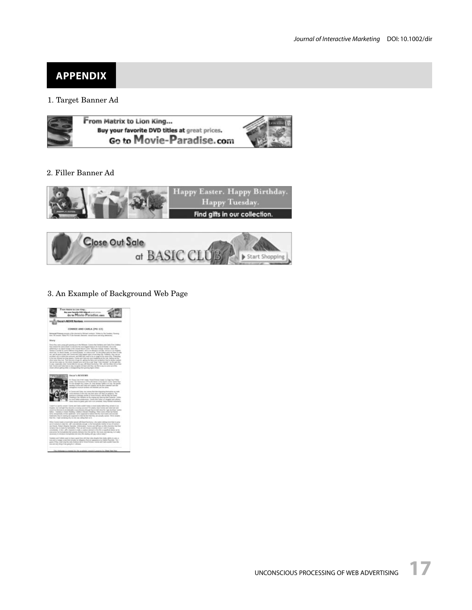# **APPENDIX**

#### 1. Target Banner Ad



#### 2. Filler Banner Ad



#### 3. An Example of Background Web Page